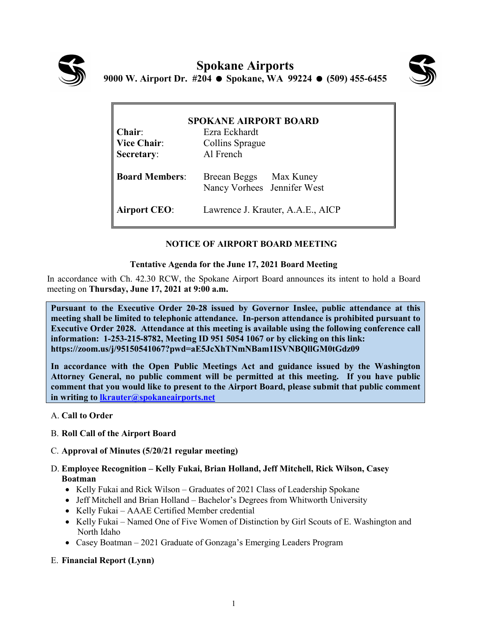



| <b>SPOKANE AIRPORT BOARD</b> |                                                       |
|------------------------------|-------------------------------------------------------|
| Chair:                       | Ezra Eckhardt                                         |
| <b>Vice Chair:</b>           | Collins Sprague                                       |
| Secretary:                   | Al French                                             |
| <b>Board Members:</b>        | Breean Beggs Max Kuney<br>Nancy Vorhees Jennifer West |
| <b>Airport CEO:</b>          | Lawrence J. Krauter, A.A.E., AICP                     |

# **NOTICE OF AIRPORT BOARD MEETING**

## **Tentative Agenda for the June 17, 2021 Board Meeting**

In accordance with Ch. 42.30 RCW, the Spokane Airport Board announces its intent to hold a Board meeting on **Thursday, June 17, 2021 at 9:00 a.m.** 

**Pursuant to the Executive Order 20-28 issued by Governor Inslee, public attendance at this meeting shall be limited to telephonic attendance. In-person attendance is prohibited pursuant to Executive Order 2028. Attendance at this meeting is available using the following conference call information: 1-253-215-8782, Meeting ID 951 5054 1067 or by clicking on this link: <https://zoom.us/j/95150541067?pwd=aE5JcXhTNmNBam1ISVNBQllGM0tGdz09>**

**In accordance with the Open Public Meetings Act and guidance issued by the Washington Attorney General, no public comment will be permitted at this meeting. If you have public comment that you would like to present to the Airport Board, please submit that public comment in writing to [lkrauter@spokaneairports.net](mailto:lkrauter@spokaneairports.net)**

- A. **Call to Order**
- B. **Roll Call of the Airport Board**
- C. **Approval of Minutes (5/20/21 regular meeting)**
- D. **Employee Recognition – Kelly Fukai, Brian Holland, Jeff Mitchell, Rick Wilson, Casey Boatman**
	- Kelly Fukai and Rick Wilson Graduates of 2021 Class of Leadership Spokane
	- Jeff Mitchell and Brian Holland Bachelor's Degrees from Whitworth University
	- Kelly Fukai AAAE Certified Member credential
	- Kelly Fukai Named One of Five Women of Distinction by Girl Scouts of E. Washington and North Idaho
	- Casey Boatman 2021 Graduate of Gonzaga's Emerging Leaders Program

## E. **Financial Report (Lynn)**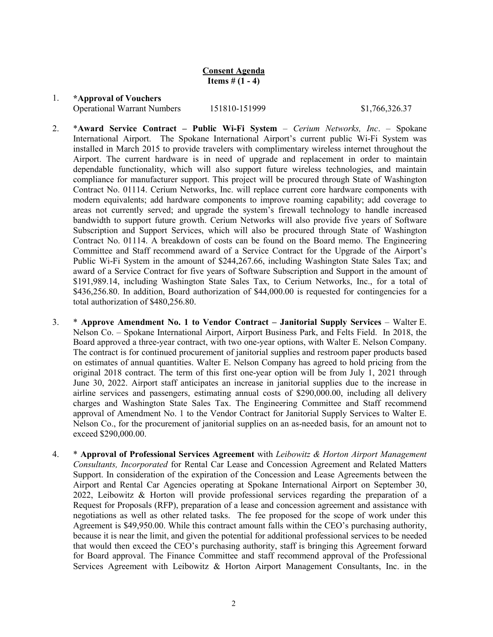**Consent Agenda Items** #  $(1 - 4)$ 

#### 1. **\*Approval of Vouchers**

Operational Warrant Numbers 151810-151999 \$1,766,326.37

- 2. \***Award Service Contract – Public Wi-Fi System** *Cerium Networks, Inc*. Spokane International Airport. The Spokane International Airport's current public Wi-Fi System was installed in March 2015 to provide travelers with complimentary wireless internet throughout the Airport. The current hardware is in need of upgrade and replacement in order to maintain dependable functionality, which will also support future wireless technologies, and maintain compliance for manufacturer support. This project will be procured through State of Washington Contract No. 01114. Cerium Networks, Inc. will replace current core hardware components with modern equivalents; add hardware components to improve roaming capability; add coverage to areas not currently served; and upgrade the system's firewall technology to handle increased bandwidth to support future growth. Cerium Networks will also provide five years of Software Subscription and Support Services, which will also be procured through State of Washington Contract No. 01114. A breakdown of costs can be found on the Board memo. The Engineering Committee and Staff recommend award of a Service Contract for the Upgrade of the Airport's Public Wi-Fi System in the amount of \$244,267.66, including Washington State Sales Tax; and award of a Service Contract for five years of Software Subscription and Support in the amount of \$191,989.14, including Washington State Sales Tax, to Cerium Networks, Inc., for a total of \$436,256.80. In addition, Board authorization of \$44,000.00 is requested for contingencies for a total authorization of \$480,256.80.
- 3. \* **Approve Amendment No. 1 to Vendor Contract – Janitorial Supply Services** Walter E. Nelson Co. – Spokane International Airport, Airport Business Park, and Felts Field. In 2018, the Board approved a three-year contract, with two one-year options, with Walter E. Nelson Company. The contract is for continued procurement of janitorial supplies and restroom paper products based on estimates of annual quantities. Walter E. Nelson Company has agreed to hold pricing from the original 2018 contract. The term of this first one-year option will be from July 1, 2021 through June 30, 2022. Airport staff anticipates an increase in janitorial supplies due to the increase in airline services and passengers, estimating annual costs of \$290,000.00, including all delivery charges and Washington State Sales Tax. The Engineering Committee and Staff recommend approval of Amendment No. 1 to the Vendor Contract for Janitorial Supply Services to Walter E. Nelson Co., for the procurement of janitorial supplies on an as-needed basis, for an amount not to exceed \$290,000.00.
- 4. \* **Approval of Professional Services Agreement** with *Leibowitz & Horton Airport Management Consultants, Incorporated* for Rental Car Lease and Concession Agreement and Related Matters Support. In consideration of the expiration of the Concession and Lease Agreements between the Airport and Rental Car Agencies operating at Spokane International Airport on September 30, 2022, Leibowitz & Horton will provide professional services regarding the preparation of a Request for Proposals (RFP), preparation of a lease and concession agreement and assistance with negotiations as well as other related tasks. The fee proposed for the scope of work under this Agreement is \$49,950.00. While this contract amount falls within the CEO's purchasing authority, because it is near the limit, and given the potential for additional professional services to be needed that would then exceed the CEO's purchasing authority, staff is bringing this Agreement forward for Board approval. The Finance Committee and staff recommend approval of the Professional Services Agreement with Leibowitz & Horton Airport Management Consultants, Inc. in the